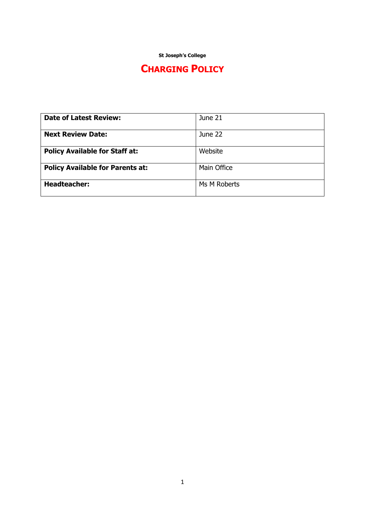**St Joseph's College**

# **CHARGING POLICY**

| <b>Date of Latest Review:</b>           | June 21      |
|-----------------------------------------|--------------|
|                                         |              |
| <b>Next Review Date:</b>                | June 22      |
|                                         |              |
| <b>Policy Available for Staff at:</b>   | Website      |
|                                         |              |
| <b>Policy Available for Parents at:</b> | Main Office  |
|                                         |              |
| <b>Headteacher:</b>                     | Ms M Roberts |
|                                         |              |
|                                         |              |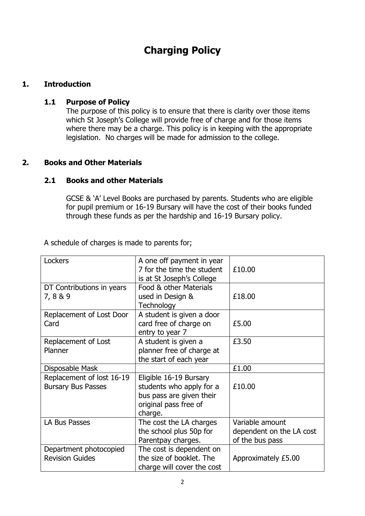# **Charging Policy**

# **1. Introduction**

#### **1.1 Purpose of Policy**

The purpose of this policy is to ensure that there is clarity over those items which St Joseph's College will provide free of charge and for those items where there may be a charge. This policy is in keeping with the appropriate legislation. No charges will be made for admission to the college.

# **2. Books and Other Materials**

#### **2.1 Books and other Materials**

GCSE & 'A' Level Books are purchased by parents. Students who are eligible for pupil premium or 16-19 Bursary will have the cost of their books funded through these funds as per the hardship and 16-19 Bursary policy.

A schedule of charges is made to parents for;

| Lockers                                                | A one off payment in year<br>7 for the time the student<br>is at St Joseph's College                               | £10.00                                                         |
|--------------------------------------------------------|--------------------------------------------------------------------------------------------------------------------|----------------------------------------------------------------|
| DT Contributions in years<br>7,8&9                     | Food & other Materials<br>used in Design &<br>Technology                                                           | £18.00                                                         |
| Replacement of Lost Door<br>Card                       | A student is given a door<br>card free of charge on<br>entry to year 7                                             | £5.00                                                          |
| Replacement of Lost<br>Planner                         | A student is given a<br>planner free of charge at<br>the start of each year                                        | £3.50                                                          |
| Disposable Mask                                        |                                                                                                                    | £1.00                                                          |
| Replacement of lost 16-19<br><b>Bursary Bus Passes</b> | Eligible 16-19 Bursary<br>students who apply for a<br>bus pass are given their<br>original pass free of<br>charge. | £10.00                                                         |
| LA Bus Passes                                          | The cost the LA charges<br>the school plus 50p for<br>Parentpay charges.                                           | Variable amount<br>dependent on the LA cost<br>of the bus pass |
| Department photocopied<br><b>Revision Guides</b>       | The cost is dependent on<br>the size of booklet. The<br>charge will cover the cost                                 | Approximately £5.00                                            |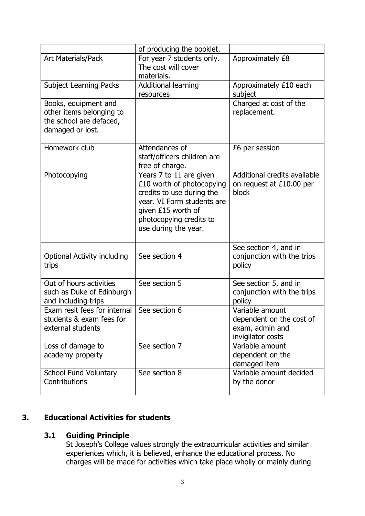|                                                                                                 | of producing the booklet.                                                                                                                                                                |                                                                                     |
|-------------------------------------------------------------------------------------------------|------------------------------------------------------------------------------------------------------------------------------------------------------------------------------------------|-------------------------------------------------------------------------------------|
| Art Materials/Pack                                                                              | For year 7 students only.<br>The cost will cover<br>materials.                                                                                                                           | Approximately £8                                                                    |
| <b>Subject Learning Packs</b>                                                                   | <b>Additional learning</b><br>resources                                                                                                                                                  | Approximately £10 each<br>subject                                                   |
| Books, equipment and<br>other items belonging to<br>the school are defaced,<br>damaged or lost. |                                                                                                                                                                                          | Charged at cost of the<br>replacement.                                              |
| Homework club                                                                                   | Attendances of<br>staff/officers children are<br>free of charge.                                                                                                                         | £6 per session                                                                      |
| Photocopying                                                                                    | Years 7 to 11 are given<br>£10 worth of photocopying<br>credits to use during the<br>year. VI Form students are<br>given £15 worth of<br>photocopying credits to<br>use during the year. | Additional credits available<br>on request at £10.00 per<br>block                   |
| <b>Optional Activity including</b><br>trips                                                     | See section 4                                                                                                                                                                            | See section 4, and in<br>conjunction with the trips<br>policy                       |
| Out of hours activities<br>such as Duke of Edinburgh<br>and including trips                     | See section 5                                                                                                                                                                            | See section 5, and in<br>conjunction with the trips<br>policy                       |
| Exam resit fees for internal<br>students & exam fees for<br>external students                   | See section 6                                                                                                                                                                            | Variable amount<br>dependent on the cost of<br>exam, admin and<br>invigilator costs |
| Loss of damage to<br>academy property                                                           | See section 7                                                                                                                                                                            | Variable amount<br>dependent on the<br>damaged item                                 |
| School Fund Voluntary<br>Contributions                                                          | See section 8                                                                                                                                                                            | Variable amount decided<br>by the donor                                             |

# **3. Educational Activities for students**

# **3.1 Guiding Principle**

St Joseph's College values strongly the extracurricular activities and similar experiences which, it is believed, enhance the educational process. No charges will be made for activities which take place wholly or mainly during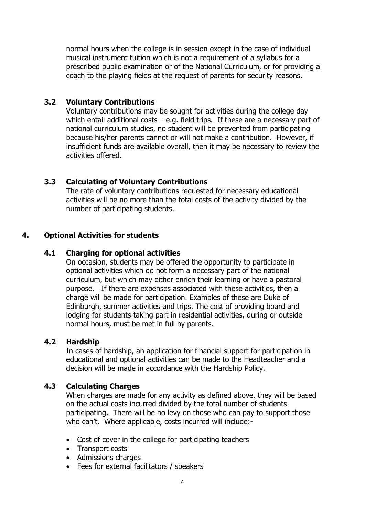normal hours when the college is in session except in the case of individual musical instrument tuition which is not a requirement of a syllabus for a prescribed public examination or of the National Curriculum, or for providing a coach to the playing fields at the request of parents for security reasons.

#### **3.2 Voluntary Contributions**

Voluntary contributions may be sought for activities during the college day which entail additional costs  $-$  e.g. field trips. If these are a necessary part of national curriculum studies, no student will be prevented from participating because his/her parents cannot or will not make a contribution. However, if insufficient funds are available overall, then it may be necessary to review the activities offered.

# **3.3 Calculating of Voluntary Contributions**

The rate of voluntary contributions requested for necessary educational activities will be no more than the total costs of the activity divided by the number of participating students.

# **4. Optional Activities for students**

#### **4.1 Charging for optional activities**

On occasion, students may be offered the opportunity to participate in optional activities which do not form a necessary part of the national curriculum, but which may either enrich their learning or have a pastoral purpose. If there are expenses associated with these activities, then a charge will be made for participation. Examples of these are Duke of Edinburgh, summer activities and trips. The cost of providing board and lodging for students taking part in residential activities, during or outside normal hours, must be met in full by parents.

#### **4.2 Hardship**

In cases of hardship, an application for financial support for participation in educational and optional activities can be made to the Headteacher and a decision will be made in accordance with the Hardship Policy.

# **4.3 Calculating Charges**

When charges are made for any activity as defined above, they will be based on the actual costs incurred divided by the total number of students participating. There will be no levy on those who can pay to support those who can't. Where applicable, costs incurred will include:-

- Cost of cover in the college for participating teachers
- Transport costs
- Admissions charges
- Fees for external facilitators / speakers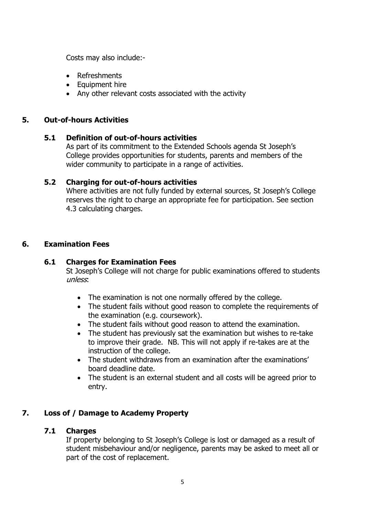Costs may also include:-

- Refreshments
- Equipment hire
- Any other relevant costs associated with the activity

#### **5. Out-of-hours Activities**

#### **5.1 Definition of out-of-hours activities**

As part of its commitment to the Extended Schools agenda St Joseph's College provides opportunities for students, parents and members of the wider community to participate in a range of activities.

#### **5.2 Charging for out-of-hours activities**

Where activities are not fully funded by external sources, St Joseph's College reserves the right to charge an appropriate fee for participation. See section 4.3 calculating charges.

#### **6. Examination Fees**

#### **6.1 Charges for Examination Fees**

St Joseph's College will not charge for public examinations offered to students unless:

- The examination is not one normally offered by the college.
- The student fails without good reason to complete the requirements of the examination (e.g. coursework).
- The student fails without good reason to attend the examination.
- The student has previously sat the examination but wishes to re-take to improve their grade. NB. This will not apply if re-takes are at the instruction of the college.
- The student withdraws from an examination after the examinations' board deadline date.
- The student is an external student and all costs will be agreed prior to entry.

# **7. Loss of / Damage to Academy Property**

#### **7.1 Charges**

If property belonging to St Joseph's College is lost or damaged as a result of student misbehaviour and/or negligence, parents may be asked to meet all or part of the cost of replacement.